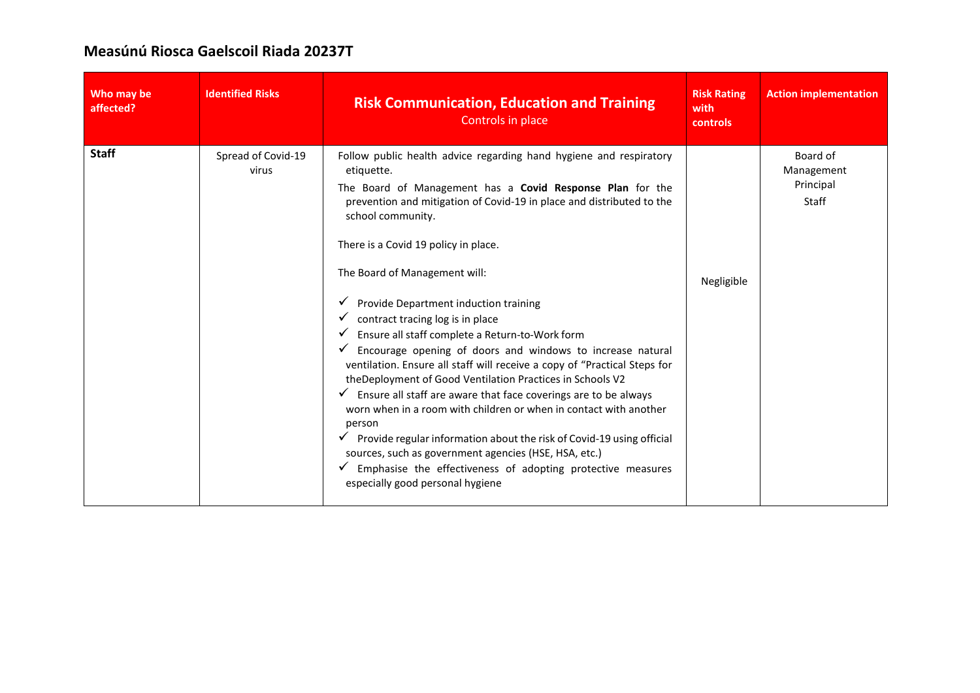## **Measúnú Riosca Gaelscoil Riada 20237T**

| Who may be<br>affected? | <b>Identified Risks</b>     | <b>Risk Communication, Education and Training</b><br>Controls in place                                                                                                                                                                                                                                                                                                                                                                                                                                                                                                                                                                                                                                                                                                                                                                                                                                                                                                                                                                                           | <b>Risk Rating</b><br>with<br>controls | <b>Action implementation</b>                        |
|-------------------------|-----------------------------|------------------------------------------------------------------------------------------------------------------------------------------------------------------------------------------------------------------------------------------------------------------------------------------------------------------------------------------------------------------------------------------------------------------------------------------------------------------------------------------------------------------------------------------------------------------------------------------------------------------------------------------------------------------------------------------------------------------------------------------------------------------------------------------------------------------------------------------------------------------------------------------------------------------------------------------------------------------------------------------------------------------------------------------------------------------|----------------------------------------|-----------------------------------------------------|
| <b>Staff</b>            | Spread of Covid-19<br>virus | Follow public health advice regarding hand hygiene and respiratory<br>etiquette.<br>The Board of Management has a Covid Response Plan for the<br>prevention and mitigation of Covid-19 in place and distributed to the<br>school community.<br>There is a Covid 19 policy in place.<br>The Board of Management will:<br>Provide Department induction training<br>contract tracing log is in place<br>Ensure all staff complete a Return-to-Work form<br>Encourage opening of doors and windows to increase natural<br>ventilation. Ensure all staff will receive a copy of "Practical Steps for<br>theDeployment of Good Ventilation Practices in Schools V2<br>$\checkmark$ Ensure all staff are aware that face coverings are to be always<br>worn when in a room with children or when in contact with another<br>person<br>Provide regular information about the risk of Covid-19 using official<br>sources, such as government agencies (HSE, HSA, etc.)<br>Emphasise the effectiveness of adopting protective measures<br>especially good personal hygiene | Negligible                             | Board of<br>Management<br>Principal<br><b>Staff</b> |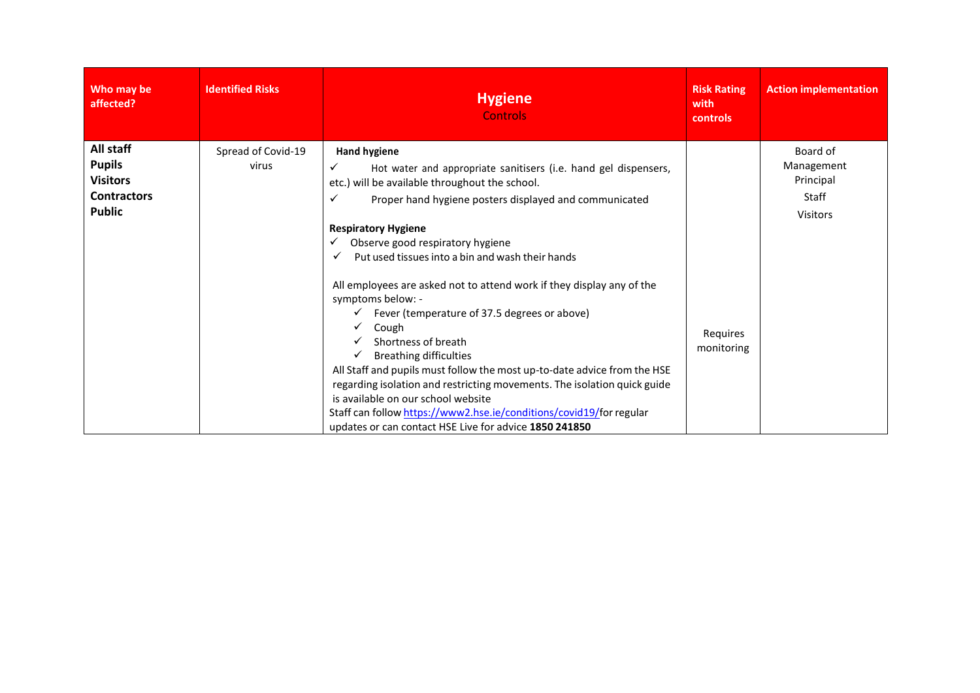| Who may be<br>affected?                                                              | <b>Identified Risks</b>     | <b>Hygiene</b><br><b>Controls</b>                                                                                                                                                                                                                                                                                                                                                                                                                                                                                                                                                                   | <b>Risk Rating</b><br>with<br>controls | <b>Action implementation</b>                                    |
|--------------------------------------------------------------------------------------|-----------------------------|-----------------------------------------------------------------------------------------------------------------------------------------------------------------------------------------------------------------------------------------------------------------------------------------------------------------------------------------------------------------------------------------------------------------------------------------------------------------------------------------------------------------------------------------------------------------------------------------------------|----------------------------------------|-----------------------------------------------------------------|
| All staff<br><b>Pupils</b><br><b>Visitors</b><br><b>Contractors</b><br><b>Public</b> | Spread of Covid-19<br>virus | <b>Hand hygiene</b><br>Hot water and appropriate sanitisers (i.e. hand gel dispensers,<br>etc.) will be available throughout the school.<br>Proper hand hygiene posters displayed and communicated<br><b>Respiratory Hygiene</b><br>Observe good respiratory hygiene<br>✓                                                                                                                                                                                                                                                                                                                           |                                        | Board of<br>Management<br>Principal<br>Staff<br><b>Visitors</b> |
|                                                                                      |                             | Put used tissues into a bin and wash their hands<br>✓<br>All employees are asked not to attend work if they display any of the<br>symptoms below: -<br>Fever (temperature of 37.5 degrees or above)<br>Cough<br>Shortness of breath<br><b>Breathing difficulties</b><br>All Staff and pupils must follow the most up-to-date advice from the HSE<br>regarding isolation and restricting movements. The isolation quick guide<br>is available on our school website<br>Staff can follow https://www2.hse.ie/conditions/covid19/for regular<br>updates or can contact HSE Live for advice 1850 241850 | Requires<br>monitoring                 |                                                                 |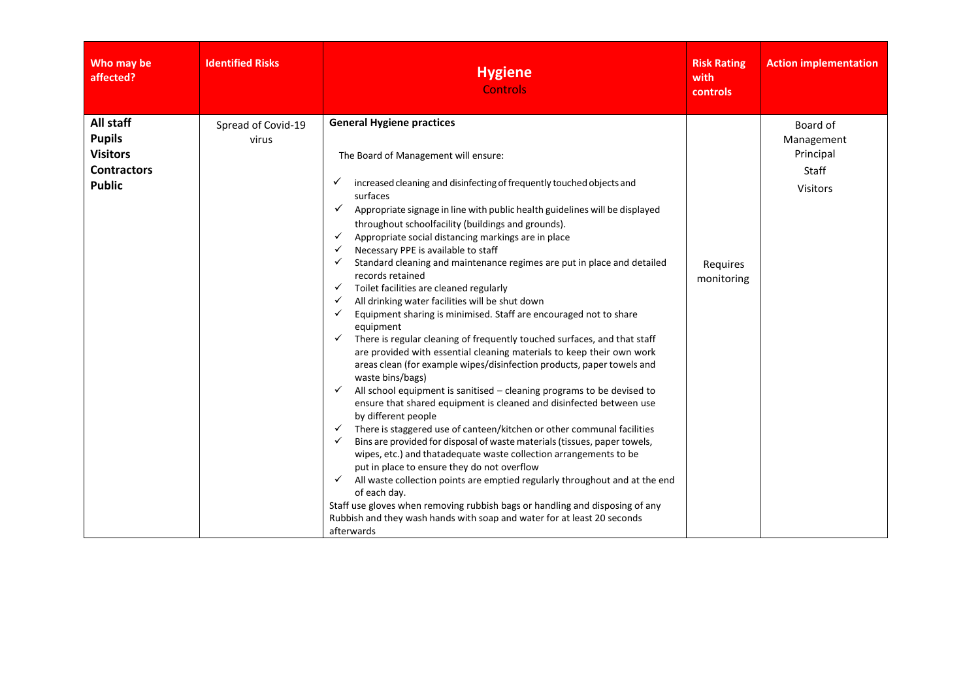| Who may be<br>affected?                                                              | <b>Identified Risks</b>     | <b>Hygiene</b><br><b>Controls</b>                                                                                                                                                                                                                                                                                                                                                                                                                                                                                                                                                                                                                                                                                                                                                                                                                                                                                                                                                                                                                                                                                                                                                                                                                                                                                                                                                                                                                                                                                                                                                                                                                                                                                                                                                                                 | <b>Risk Rating</b><br>with<br>controls | <b>Action implementation</b>                                           |
|--------------------------------------------------------------------------------------|-----------------------------|-------------------------------------------------------------------------------------------------------------------------------------------------------------------------------------------------------------------------------------------------------------------------------------------------------------------------------------------------------------------------------------------------------------------------------------------------------------------------------------------------------------------------------------------------------------------------------------------------------------------------------------------------------------------------------------------------------------------------------------------------------------------------------------------------------------------------------------------------------------------------------------------------------------------------------------------------------------------------------------------------------------------------------------------------------------------------------------------------------------------------------------------------------------------------------------------------------------------------------------------------------------------------------------------------------------------------------------------------------------------------------------------------------------------------------------------------------------------------------------------------------------------------------------------------------------------------------------------------------------------------------------------------------------------------------------------------------------------------------------------------------------------------------------------------------------------|----------------------------------------|------------------------------------------------------------------------|
| All staff<br><b>Pupils</b><br><b>Visitors</b><br><b>Contractors</b><br><b>Public</b> | Spread of Covid-19<br>virus | <b>General Hygiene practices</b><br>The Board of Management will ensure:<br>increased cleaning and disinfecting of frequently touched objects and<br>✓<br>surfaces<br>Appropriate signage in line with public health guidelines will be displayed<br>$\checkmark$<br>throughout schoolfacility (buildings and grounds).<br>Appropriate social distancing markings are in place<br>$\checkmark$<br>Necessary PPE is available to staff<br>Standard cleaning and maintenance regimes are put in place and detailed<br>$\checkmark$<br>records retained<br>Toilet facilities are cleaned regularly<br>$\checkmark$<br>All drinking water facilities will be shut down<br>$\checkmark$<br>Equipment sharing is minimised. Staff are encouraged not to share<br>$\checkmark$<br>equipment<br>There is regular cleaning of frequently touched surfaces, and that staff<br>✓<br>are provided with essential cleaning materials to keep their own work<br>areas clean (for example wipes/disinfection products, paper towels and<br>waste bins/bags)<br>All school equipment is sanitised - cleaning programs to be devised to<br>✓<br>ensure that shared equipment is cleaned and disinfected between use<br>by different people<br>There is staggered use of canteen/kitchen or other communal facilities<br>$\checkmark$<br>Bins are provided for disposal of waste materials (tissues, paper towels,<br>$\checkmark$<br>wipes, etc.) and thatadequate waste collection arrangements to be<br>put in place to ensure they do not overflow<br>All waste collection points are emptied regularly throughout and at the end<br>✓<br>of each day.<br>Staff use gloves when removing rubbish bags or handling and disposing of any<br>Rubbish and they wash hands with soap and water for at least 20 seconds<br>afterwards | Requires<br>monitoring                 | Board of<br>Management<br>Principal<br><b>Staff</b><br><b>Visitors</b> |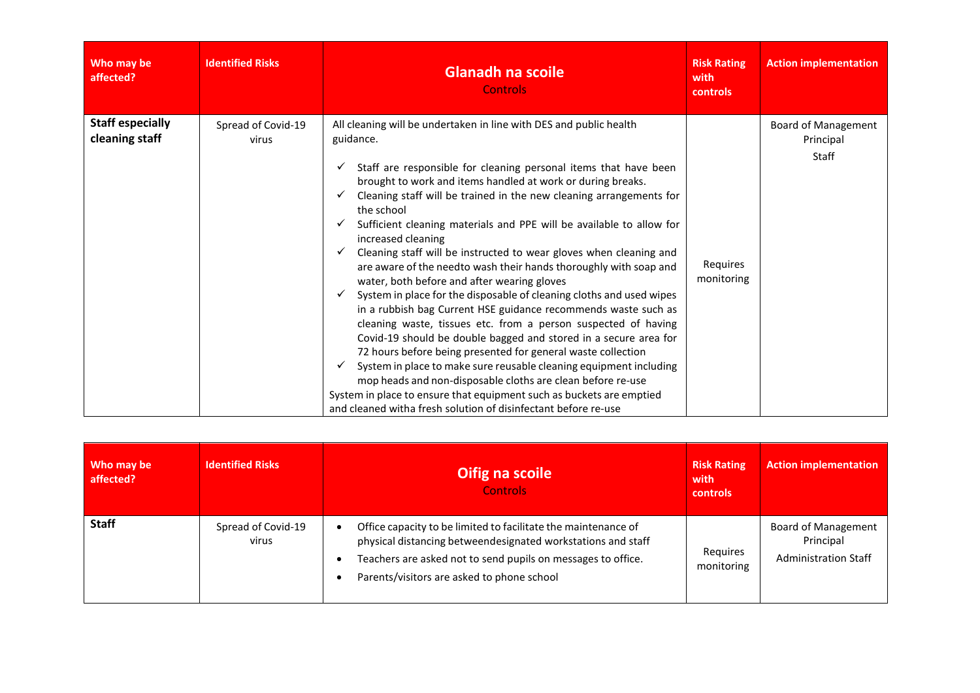| Who may be<br>affected?                   | <b>Identified Risks</b>     | <b>Glanadh na scoile</b><br><b>Controls</b>                                                                                                                                                                                                                                                                                                                                                                                                                                                                                                                                                                                                                                                                                                                                                                                                                                                                                                                                                                                                                                                                                                                                                                                                   | <b>Risk Rating</b><br>with<br>controls | <b>Action implementation</b>                     |
|-------------------------------------------|-----------------------------|-----------------------------------------------------------------------------------------------------------------------------------------------------------------------------------------------------------------------------------------------------------------------------------------------------------------------------------------------------------------------------------------------------------------------------------------------------------------------------------------------------------------------------------------------------------------------------------------------------------------------------------------------------------------------------------------------------------------------------------------------------------------------------------------------------------------------------------------------------------------------------------------------------------------------------------------------------------------------------------------------------------------------------------------------------------------------------------------------------------------------------------------------------------------------------------------------------------------------------------------------|----------------------------------------|--------------------------------------------------|
| <b>Staff especially</b><br>cleaning staff | Spread of Covid-19<br>virus | All cleaning will be undertaken in line with DES and public health<br>guidance.<br>Staff are responsible for cleaning personal items that have been<br>brought to work and items handled at work or during breaks.<br>Cleaning staff will be trained in the new cleaning arrangements for<br>✓<br>the school<br>Sufficient cleaning materials and PPE will be available to allow for<br>✓<br>increased cleaning<br>Cleaning staff will be instructed to wear gloves when cleaning and<br>✓<br>are aware of the needto wash their hands thoroughly with soap and<br>water, both before and after wearing gloves<br>System in place for the disposable of cleaning cloths and used wipes<br>in a rubbish bag Current HSE guidance recommends waste such as<br>cleaning waste, tissues etc. from a person suspected of having<br>Covid-19 should be double bagged and stored in a secure area for<br>72 hours before being presented for general waste collection<br>System in place to make sure reusable cleaning equipment including<br>mop heads and non-disposable cloths are clean before re-use<br>System in place to ensure that equipment such as buckets are emptied<br>and cleaned witha fresh solution of disinfectant before re-use | Requires<br>monitoring                 | Board of Management<br>Principal<br><b>Staff</b> |

| Who may be<br>affected? | <b>Identified Risks</b>     | Oifig na scoile<br><b>Controls</b>                                                                                                                                                                                                           | <b>Risk Rating</b><br>with<br>controls | <b>Action implementation</b>                                    |
|-------------------------|-----------------------------|----------------------------------------------------------------------------------------------------------------------------------------------------------------------------------------------------------------------------------------------|----------------------------------------|-----------------------------------------------------------------|
| <b>Staff</b>            | Spread of Covid-19<br>virus | Office capacity to be limited to facilitate the maintenance of<br>physical distancing betweendesignated workstations and staff<br>Teachers are asked not to send pupils on messages to office.<br>Parents/visitors are asked to phone school | Requires<br>monitoring                 | Board of Management<br>Principal<br><b>Administration Staff</b> |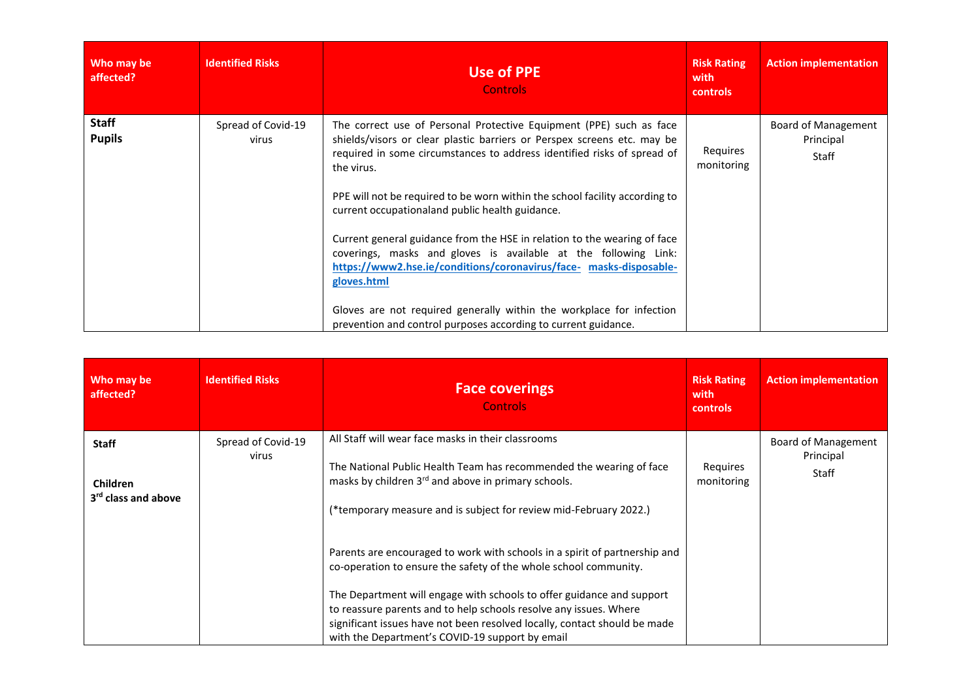| Who may be<br>affected?       | <b>Identified Risks</b>     | Use of PPE<br><b>Controls</b>                                                                                                                                                                                                                                                                                                                                                                                                                                                                                                                                                                                                                                                                                                                           | <b>Risk Rating</b><br>with<br>controls | <b>Action implementation</b>              |
|-------------------------------|-----------------------------|---------------------------------------------------------------------------------------------------------------------------------------------------------------------------------------------------------------------------------------------------------------------------------------------------------------------------------------------------------------------------------------------------------------------------------------------------------------------------------------------------------------------------------------------------------------------------------------------------------------------------------------------------------------------------------------------------------------------------------------------------------|----------------------------------------|-------------------------------------------|
| <b>Staff</b><br><b>Pupils</b> | Spread of Covid-19<br>virus | The correct use of Personal Protective Equipment (PPE) such as face<br>shields/visors or clear plastic barriers or Perspex screens etc. may be<br>required in some circumstances to address identified risks of spread of<br>the virus.<br>PPE will not be required to be worn within the school facility according to<br>current occupationaland public health guidance.<br>Current general guidance from the HSE in relation to the wearing of face<br>coverings, masks and gloves is available at the following Link:<br>https://www2.hse.ie/conditions/coronavirus/face- masks-disposable-<br>gloves.html<br>Gloves are not required generally within the workplace for infection<br>prevention and control purposes according to current guidance. | Requires<br>monitoring                 | Board of Management<br>Principal<br>Staff |

| Who may be<br>affected?                                            | <b>Identified Risks</b>     | <b>Face coverings</b><br><b>Controls</b>                                                                                                                                                                                                                                                                                                                                                                                     | <b>Risk Rating</b><br>with<br><b>controls</b> | <b>Action implementation</b>              |
|--------------------------------------------------------------------|-----------------------------|------------------------------------------------------------------------------------------------------------------------------------------------------------------------------------------------------------------------------------------------------------------------------------------------------------------------------------------------------------------------------------------------------------------------------|-----------------------------------------------|-------------------------------------------|
| <b>Staff</b><br><b>Children</b><br>3 <sup>rd</sup> class and above | Spread of Covid-19<br>virus | All Staff will wear face masks in their classrooms<br>The National Public Health Team has recommended the wearing of face<br>masks by children 3rd and above in primary schools.<br>(*temporary measure and is subject for review mid-February 2022.)                                                                                                                                                                        | Requires<br>monitoring                        | Board of Management<br>Principal<br>Staff |
|                                                                    |                             | Parents are encouraged to work with schools in a spirit of partnership and<br>co-operation to ensure the safety of the whole school community.<br>The Department will engage with schools to offer guidance and support<br>to reassure parents and to help schools resolve any issues. Where<br>significant issues have not been resolved locally, contact should be made<br>with the Department's COVID-19 support by email |                                               |                                           |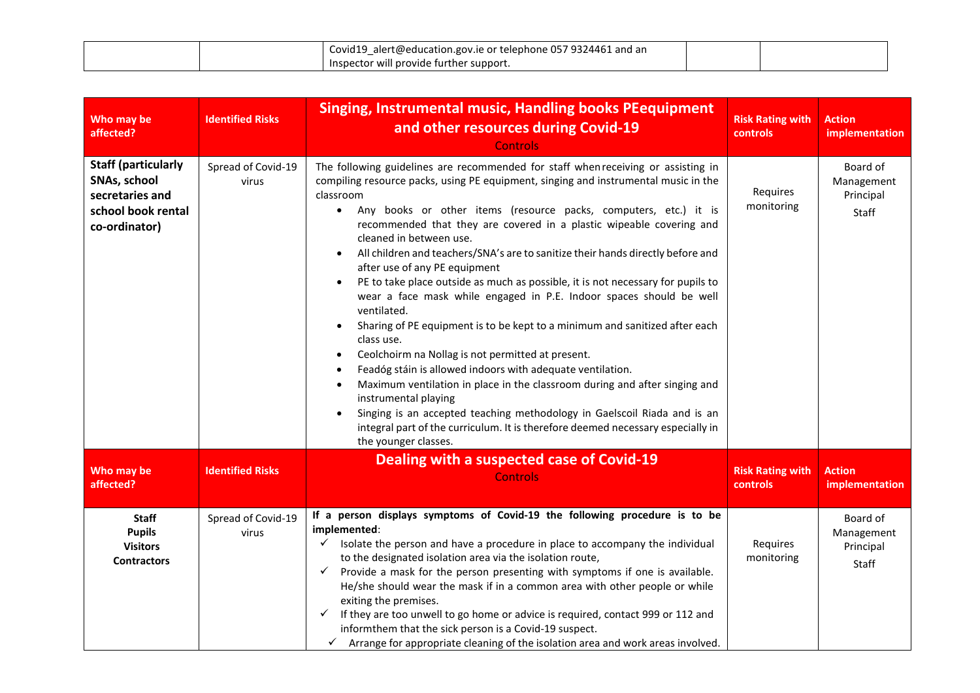|  | Palert@education.gov.ie or telephone 057 9324461 and an<br>Covid19 |  |
|--|--------------------------------------------------------------------|--|
|  | <br>Inspector will provide further support.                        |  |

| Who may be<br>affected?                                                                              | <b>Identified Risks</b>     | <b>Singing, Instrumental music, Handling books PEequipment</b><br>and other resources during Covid-19<br><b>Controls</b>                                                                                                                                                                                                                                                                                                                                                                                                                                                                                                                                                                                                                                                                                                                                                                                                                                                                                                                                                                                                                                                                                                                | <b>Risk Rating with</b><br>controls | <b>Action</b><br>implementation              |
|------------------------------------------------------------------------------------------------------|-----------------------------|-----------------------------------------------------------------------------------------------------------------------------------------------------------------------------------------------------------------------------------------------------------------------------------------------------------------------------------------------------------------------------------------------------------------------------------------------------------------------------------------------------------------------------------------------------------------------------------------------------------------------------------------------------------------------------------------------------------------------------------------------------------------------------------------------------------------------------------------------------------------------------------------------------------------------------------------------------------------------------------------------------------------------------------------------------------------------------------------------------------------------------------------------------------------------------------------------------------------------------------------|-------------------------------------|----------------------------------------------|
| <b>Staff (particularly</b><br>SNAs, school<br>secretaries and<br>school book rental<br>co-ordinator) | Spread of Covid-19<br>virus | The following guidelines are recommended for staff when receiving or assisting in<br>compiling resource packs, using PE equipment, singing and instrumental music in the<br>classroom<br>Any books or other items (resource packs, computers, etc.) it is<br>$\bullet$<br>recommended that they are covered in a plastic wipeable covering and<br>cleaned in between use.<br>All children and teachers/SNA's are to sanitize their hands directly before and<br>$\bullet$<br>after use of any PE equipment<br>PE to take place outside as much as possible, it is not necessary for pupils to<br>$\bullet$<br>wear a face mask while engaged in P.E. Indoor spaces should be well<br>ventilated.<br>Sharing of PE equipment is to be kept to a minimum and sanitized after each<br>class use.<br>Ceolchoirm na Nollag is not permitted at present.<br>$\bullet$<br>Feadóg stáin is allowed indoors with adequate ventilation.<br>Maximum ventilation in place in the classroom during and after singing and<br>instrumental playing<br>Singing is an accepted teaching methodology in Gaelscoil Riada and is an<br>$\bullet$<br>integral part of the curriculum. It is therefore deemed necessary especially in<br>the younger classes. | Requires<br>monitoring              | Board of<br>Management<br>Principal<br>Staff |
| Who may be<br>affected?                                                                              | <b>Identified Risks</b>     | Dealing with a suspected case of Covid-19<br><b>Controls</b>                                                                                                                                                                                                                                                                                                                                                                                                                                                                                                                                                                                                                                                                                                                                                                                                                                                                                                                                                                                                                                                                                                                                                                            | <b>Risk Rating with</b><br>controls | <b>Action</b><br>implementation              |
| <b>Staff</b><br><b>Pupils</b><br><b>Visitors</b><br><b>Contractors</b>                               | Spread of Covid-19<br>virus | If a person displays symptoms of Covid-19 the following procedure is to be<br>implemented:<br>Isolate the person and have a procedure in place to accompany the individual<br>$\checkmark$<br>to the designated isolation area via the isolation route,<br>Provide a mask for the person presenting with symptoms if one is available.<br>✓<br>He/she should wear the mask if in a common area with other people or while<br>exiting the premises.<br>If they are too unwell to go home or advice is required, contact 999 or 112 and<br>✓<br>informthem that the sick person is a Covid-19 suspect.<br>$\checkmark$ Arrange for appropriate cleaning of the isolation area and work areas involved.                                                                                                                                                                                                                                                                                                                                                                                                                                                                                                                                    | Requires<br>monitoring              | Board of<br>Management<br>Principal<br>Staff |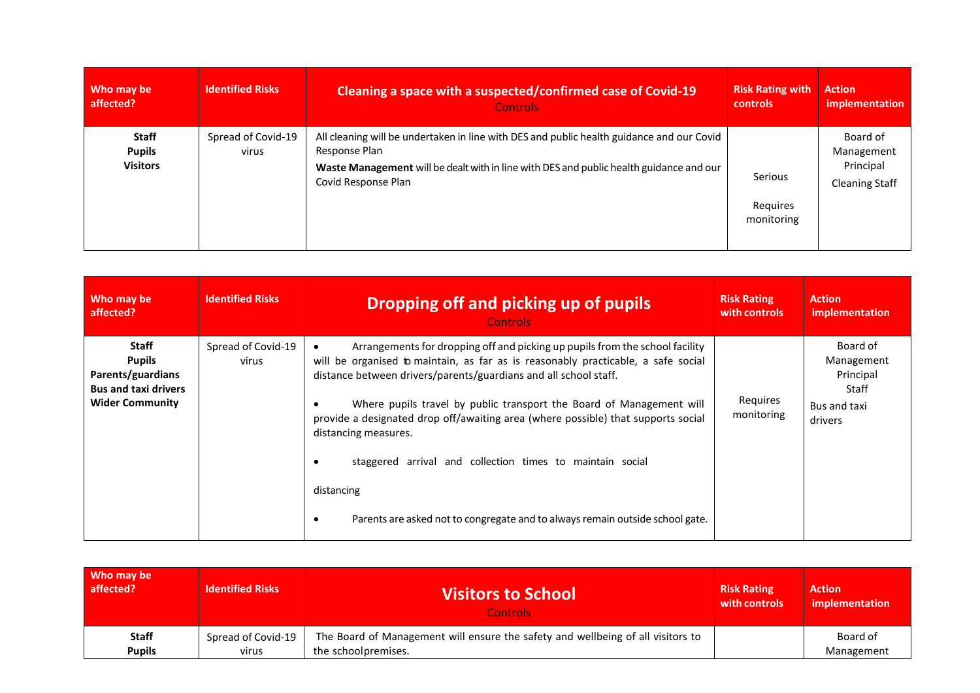| Who may be                                       | <b>Identified Risks</b>     | Cleaning a space with a suspected/confirmed case of Covid-19                                                                                                                                                                 | <b>Risk Rating with</b>           | <b>Action</b>                                                |
|--------------------------------------------------|-----------------------------|------------------------------------------------------------------------------------------------------------------------------------------------------------------------------------------------------------------------------|-----------------------------------|--------------------------------------------------------------|
| affected?                                        |                             | <b>Controls</b>                                                                                                                                                                                                              | <b>controls</b>                   | implementation                                               |
| <b>Staff</b><br><b>Pupils</b><br><b>Visitors</b> | Spread of Covid-19<br>virus | All cleaning will be undertaken in line with DES and public health guidance and our Covid<br>Response Plan<br>Waste Management will be dealt with in line with DES and public health guidance and our<br>Covid Response Plan | Serious<br>Requires<br>monitoring | Board of<br>Management<br>Principal<br><b>Cleaning Staff</b> |

| Who may be                                                                                                  | <b>Identified Risks</b>     | Dropping off and picking up of pupils                                                                                                                                                                                                                                                                                                                                                                                                                                                                                                                                                               | <b>Risk Rating</b>     | <b>Action</b>                                                           |
|-------------------------------------------------------------------------------------------------------------|-----------------------------|-----------------------------------------------------------------------------------------------------------------------------------------------------------------------------------------------------------------------------------------------------------------------------------------------------------------------------------------------------------------------------------------------------------------------------------------------------------------------------------------------------------------------------------------------------------------------------------------------------|------------------------|-------------------------------------------------------------------------|
| affected?                                                                                                   |                             | <b>Controls</b>                                                                                                                                                                                                                                                                                                                                                                                                                                                                                                                                                                                     | with controls          | implementation                                                          |
| <b>Staff</b><br><b>Pupils</b><br>Parents/guardians<br><b>Bus and taxi drivers</b><br><b>Wider Community</b> | Spread of Covid-19<br>virus | Arrangements for dropping off and picking up pupils from the school facility<br>$\bullet$<br>will be organised to maintain, as far as is reasonably practicable, a safe social<br>distance between drivers/parents/guardians and all school staff.<br>Where pupils travel by public transport the Board of Management will<br>provide a designated drop off/awaiting area (where possible) that supports social<br>distancing measures.<br>staggered arrival and collection times to maintain social<br>distancing<br>Parents are asked not to congregate and to always remain outside school gate. | Reguires<br>monitoring | Board of<br>Management<br>Principal<br>Staff<br>Bus and taxi<br>drivers |

| Who may be    | <b>Identified Risks</b> | <b>Visitors to School</b>                                                       | <b>Risk Rating</b> | <b>Action</b>  |
|---------------|-------------------------|---------------------------------------------------------------------------------|--------------------|----------------|
| affected?     |                         | Controls:                                                                       | with controls      | implementation |
| <b>Staff</b>  | Spread of Covid-19      | The Board of Management will ensure the safety and wellbeing of all visitors to |                    | Board of       |
| <b>Pupils</b> | virus                   | the schoolpremises.                                                             |                    | Management     |